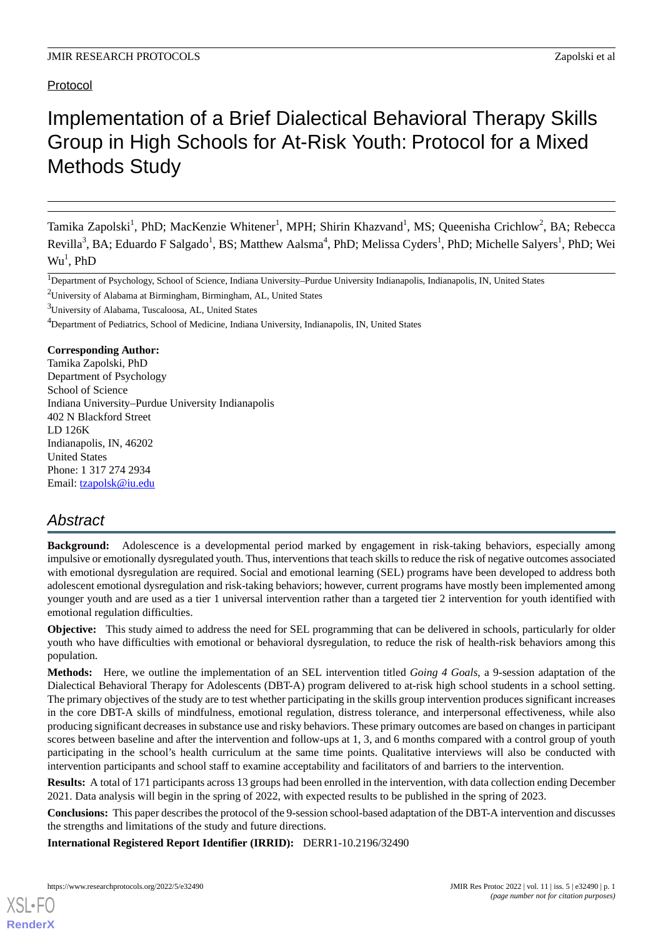# Protocol

# Implementation of a Brief Dialectical Behavioral Therapy Skills Group in High Schools for At-Risk Youth: Protocol for a Mixed Methods Study

Tamika Zapolski<sup>1</sup>, PhD; MacKenzie Whitener<sup>1</sup>, MPH; Shirin Khazvand<sup>1</sup>, MS; Queenisha Crichlow<sup>2</sup>, BA; Rebecca Revilla<sup>3</sup>, BA; Eduardo F Salgado<sup>1</sup>, BS; Matthew Aalsma<sup>4</sup>, PhD; Melissa Cyders<sup>1</sup>, PhD; Michelle Salyers<sup>1</sup>, PhD; Wei  $W\mathsf{u}^1$ , PhD

<sup>2</sup>University of Alabama at Birmingham, Birmingham, AL, United States

**Corresponding Author:**

Tamika Zapolski, PhD Department of Psychology School of Science Indiana University–Purdue University Indianapolis 402 N Blackford Street LD 126K Indianapolis, IN, 46202 United States Phone: 1 317 274 2934 Email: [tzapolsk@iu.edu](mailto:tzapolsk@iu.edu)

# *Abstract*

**Background:** Adolescence is a developmental period marked by engagement in risk-taking behaviors, especially among impulsive or emotionally dysregulated youth. Thus, interventions that teach skills to reduce the risk of negative outcomes associated with emotional dysregulation are required. Social and emotional learning (SEL) programs have been developed to address both adolescent emotional dysregulation and risk-taking behaviors; however, current programs have mostly been implemented among younger youth and are used as a tier 1 universal intervention rather than a targeted tier 2 intervention for youth identified with emotional regulation difficulties.

**Objective:** This study aimed to address the need for SEL programming that can be delivered in schools, particularly for older youth who have difficulties with emotional or behavioral dysregulation, to reduce the risk of health-risk behaviors among this population.

**Methods:** Here, we outline the implementation of an SEL intervention titled *Going 4 Goals*, a 9-session adaptation of the Dialectical Behavioral Therapy for Adolescents (DBT-A) program delivered to at-risk high school students in a school setting. The primary objectives of the study are to test whether participating in the skills group intervention produces significant increases in the core DBT-A skills of mindfulness, emotional regulation, distress tolerance, and interpersonal effectiveness, while also producing significant decreases in substance use and risky behaviors. These primary outcomes are based on changes in participant scores between baseline and after the intervention and follow-ups at 1, 3, and 6 months compared with a control group of youth participating in the school's health curriculum at the same time points. Qualitative interviews will also be conducted with intervention participants and school staff to examine acceptability and facilitators of and barriers to the intervention.

**Results:** A total of 171 participants across 13 groups had been enrolled in the intervention, with data collection ending December 2021. Data analysis will begin in the spring of 2022, with expected results to be published in the spring of 2023.

**Conclusions:** This paper describes the protocol of the 9-session school-based adaptation of the DBT-A intervention and discusses the strengths and limitations of the study and future directions.

**International Registered Report Identifier (IRRID):** DERR1-10.2196/32490

<sup>&</sup>lt;sup>1</sup>Department of Psychology, School of Science, Indiana University–Purdue University Indianapolis, Indianapolis, IN, United States

<sup>3</sup>University of Alabama, Tuscaloosa, AL, United States

<sup>&</sup>lt;sup>4</sup>Department of Pediatrics, School of Medicine, Indiana University, Indianapolis, IN, United States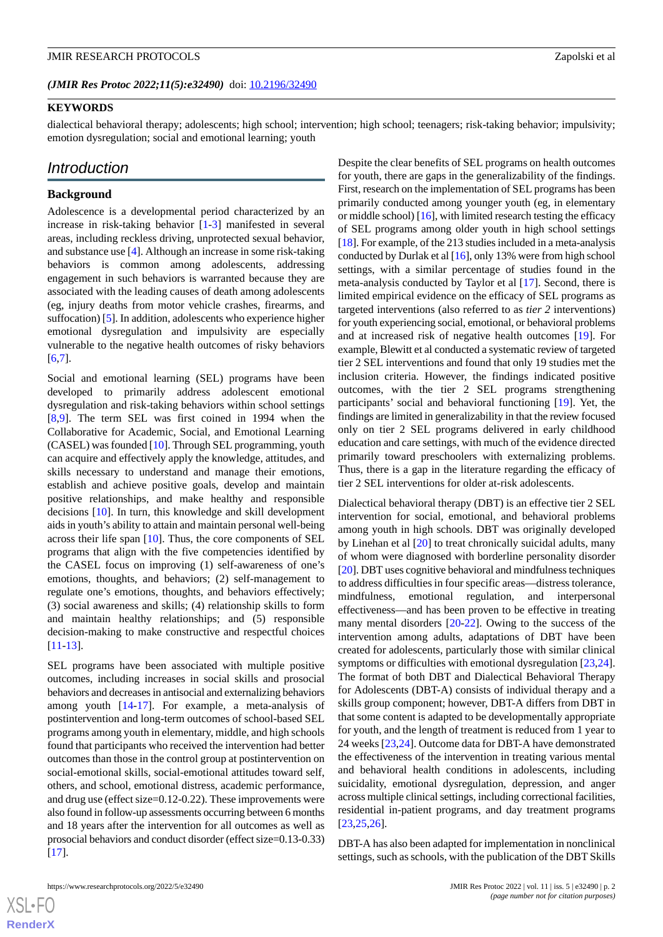(JMIR Res Protoc 2022;11(5):e32490) doi: [10.2196/32490](http://dx.doi.org/10.2196/32490)

#### **KEYWORDS**

dialectical behavioral therapy; adolescents; high school; intervention; high school; teenagers; risk-taking behavior; impulsivity; emotion dysregulation; social and emotional learning; youth

# *Introduction*

#### **Background**

Adolescence is a developmental period characterized by an increase in risk-taking behavior [\[1](#page-9-0)[-3\]](#page-9-1) manifested in several areas, including reckless driving, unprotected sexual behavior, and substance use [[4\]](#page-9-2). Although an increase in some risk-taking behaviors is common among adolescents, addressing engagement in such behaviors is warranted because they are associated with the leading causes of death among adolescents (eg, injury deaths from motor vehicle crashes, firearms, and suffocation) [\[5](#page-9-3)]. In addition, adolescents who experience higher emotional dysregulation and impulsivity are especially vulnerable to the negative health outcomes of risky behaviors [[6](#page-10-0)[,7](#page-10-1)].

Social and emotional learning (SEL) programs have been developed to primarily address adolescent emotional dysregulation and risk-taking behaviors within school settings [[8](#page-10-2)[,9](#page-10-3)]. The term SEL was first coined in 1994 when the Collaborative for Academic, Social, and Emotional Learning (CASEL) was founded [\[10](#page-10-4)]. Through SEL programming, youth can acquire and effectively apply the knowledge, attitudes, and skills necessary to understand and manage their emotions, establish and achieve positive goals, develop and maintain positive relationships, and make healthy and responsible decisions [\[10](#page-10-4)]. In turn, this knowledge and skill development aids in youth's ability to attain and maintain personal well-being across their life span [\[10](#page-10-4)]. Thus, the core components of SEL programs that align with the five competencies identified by the CASEL focus on improving (1) self-awareness of one's emotions, thoughts, and behaviors; (2) self-management to regulate one's emotions, thoughts, and behaviors effectively; (3) social awareness and skills; (4) relationship skills to form and maintain healthy relationships; and (5) responsible decision-making to make constructive and respectful choices [[11](#page-10-5)[-13](#page-10-6)].

SEL programs have been associated with multiple positive outcomes, including increases in social skills and prosocial behaviors and decreases in antisocial and externalizing behaviors among youth [[14-](#page-10-7)[17](#page-10-8)]. For example, a meta-analysis of postintervention and long-term outcomes of school-based SEL programs among youth in elementary, middle, and high schools found that participants who received the intervention had better outcomes than those in the control group at postintervention on social-emotional skills, social-emotional attitudes toward self, others, and school, emotional distress, academic performance, and drug use (effect size=0.12-0.22). These improvements were also found in follow-up assessments occurring between 6 months and 18 years after the intervention for all outcomes as well as prosocial behaviors and conduct disorder (effect size=0.13-0.33) [[17\]](#page-10-8).

Despite the clear benefits of SEL programs on health outcomes for youth, there are gaps in the generalizability of the findings. First, research on the implementation of SEL programs has been primarily conducted among younger youth (eg, in elementary or middle school) [[16](#page-10-9)], with limited research testing the efficacy of SEL programs among older youth in high school settings [[18\]](#page-10-10). For example, of the 213 studies included in a meta-analysis conducted by Durlak et al [\[16](#page-10-9)], only 13% were from high school settings, with a similar percentage of studies found in the meta-analysis conducted by Taylor et al [\[17](#page-10-8)]. Second, there is limited empirical evidence on the efficacy of SEL programs as targeted interventions (also referred to as *tier 2* interventions) for youth experiencing social, emotional, or behavioral problems and at increased risk of negative health outcomes [\[19](#page-10-11)]. For example, Blewitt et al conducted a systematic review of targeted tier 2 SEL interventions and found that only 19 studies met the inclusion criteria. However, the findings indicated positive outcomes, with the tier 2 SEL programs strengthening participants' social and behavioral functioning [\[19](#page-10-11)]. Yet, the findings are limited in generalizability in that the review focused only on tier 2 SEL programs delivered in early childhood education and care settings, with much of the evidence directed primarily toward preschoolers with externalizing problems. Thus, there is a gap in the literature regarding the efficacy of tier 2 SEL interventions for older at-risk adolescents.

Dialectical behavioral therapy (DBT) is an effective tier 2 SEL intervention for social, emotional, and behavioral problems among youth in high schools. DBT was originally developed by Linehan et al [\[20](#page-10-12)] to treat chronically suicidal adults, many of whom were diagnosed with borderline personality disorder [[20\]](#page-10-12). DBT uses cognitive behavioral and mindfulness techniques to address difficulties in four specific areas—distress tolerance, mindfulness, emotional regulation, and interpersonal effectiveness—and has been proven to be effective in treating many mental disorders [[20](#page-10-12)[-22](#page-10-13)]. Owing to the success of the intervention among adults, adaptations of DBT have been created for adolescents, particularly those with similar clinical symptoms or difficulties with emotional dysregulation [\[23](#page-10-14),[24\]](#page-10-15). The format of both DBT and Dialectical Behavioral Therapy for Adolescents (DBT-A) consists of individual therapy and a skills group component; however, DBT-A differs from DBT in that some content is adapted to be developmentally appropriate for youth, and the length of treatment is reduced from 1 year to 24 weeks [[23](#page-10-14)[,24](#page-10-15)]. Outcome data for DBT-A have demonstrated the effectiveness of the intervention in treating various mental and behavioral health conditions in adolescents, including suicidality, emotional dysregulation, depression, and anger across multiple clinical settings, including correctional facilities, residential in-patient programs, and day treatment programs [[23,](#page-10-14)[25,](#page-10-16)[26\]](#page-10-17).

DBT-A has also been adapted for implementation in nonclinical settings, such as schools, with the publication of the DBT Skills

 $XS$  • FO **[RenderX](http://www.renderx.com/)**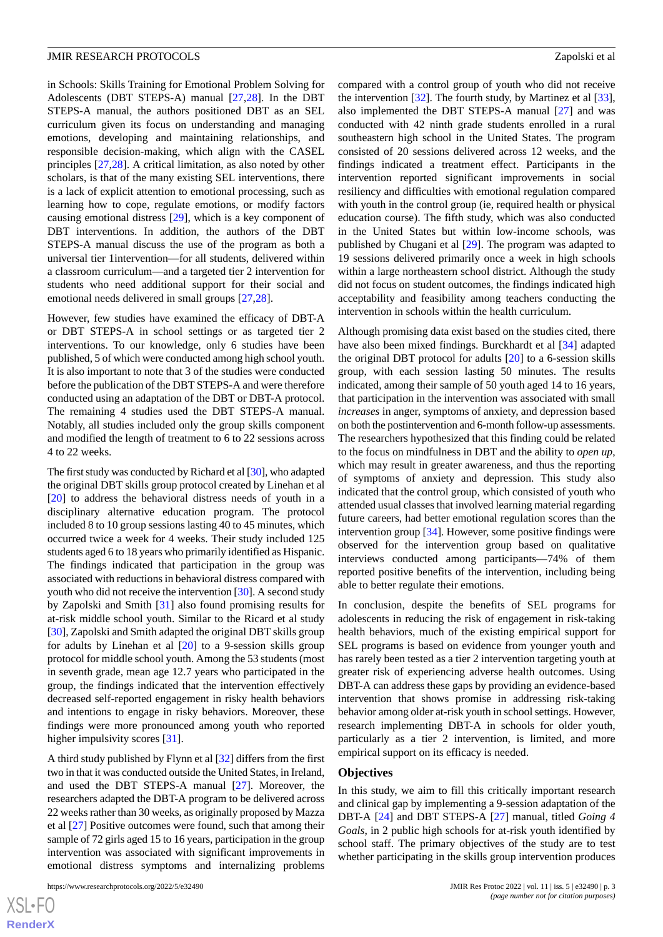in Schools: Skills Training for Emotional Problem Solving for Adolescents (DBT STEPS-A) manual [[27](#page-10-18)[,28](#page-10-19)]. In the DBT STEPS-A manual, the authors positioned DBT as an SEL curriculum given its focus on understanding and managing emotions, developing and maintaining relationships, and responsible decision-making, which align with the CASEL principles [\[27](#page-10-18)[,28](#page-10-19)]. A critical limitation, as also noted by other scholars, is that of the many existing SEL interventions, there is a lack of explicit attention to emotional processing, such as learning how to cope, regulate emotions, or modify factors causing emotional distress [\[29](#page-11-0)], which is a key component of DBT interventions. In addition, the authors of the DBT STEPS-A manual discuss the use of the program as both a universal tier 1intervention—for all students, delivered within a classroom curriculum—and a targeted tier 2 intervention for students who need additional support for their social and emotional needs delivered in small groups [\[27](#page-10-18),[28\]](#page-10-19).

However, few studies have examined the efficacy of DBT-A or DBT STEPS-A in school settings or as targeted tier 2 interventions. To our knowledge, only 6 studies have been published, 5 of which were conducted among high school youth. It is also important to note that 3 of the studies were conducted before the publication of the DBT STEPS-A and were therefore conducted using an adaptation of the DBT or DBT-A protocol. The remaining 4 studies used the DBT STEPS-A manual. Notably, all studies included only the group skills component and modified the length of treatment to 6 to 22 sessions across 4 to 22 weeks.

The first study was conducted by Richard et al [\[30\]](#page-11-1), who adapted the original DBT skills group protocol created by Linehan et al [[20\]](#page-10-12) to address the behavioral distress needs of youth in a disciplinary alternative education program. The protocol included 8 to 10 group sessions lasting 40 to 45 minutes, which occurred twice a week for 4 weeks. Their study included 125 students aged 6 to 18 years who primarily identified as Hispanic. The findings indicated that participation in the group was associated with reductions in behavioral distress compared with youth who did not receive the intervention [[30\]](#page-11-1). A second study by Zapolski and Smith [\[31](#page-11-2)] also found promising results for at-risk middle school youth. Similar to the Ricard et al study [[30\]](#page-11-1), Zapolski and Smith adapted the original DBT skills group for adults by Linehan et al [[20\]](#page-10-12) to a 9-session skills group protocol for middle school youth. Among the 53 students (most in seventh grade, mean age 12.7 years who participated in the group, the findings indicated that the intervention effectively decreased self-reported engagement in risky health behaviors and intentions to engage in risky behaviors. Moreover, these findings were more pronounced among youth who reported higher impulsivity scores [\[31](#page-11-2)].

A third study published by Flynn et al [[32\]](#page-11-3) differs from the first two in that it was conducted outside the United States, in Ireland, and used the DBT STEPS-A manual [[27\]](#page-10-18). Moreover, the researchers adapted the DBT-A program to be delivered across 22 weeks rather than 30 weeks, as originally proposed by Mazza et al [\[27](#page-10-18)] Positive outcomes were found, such that among their sample of 72 girls aged 15 to 16 years, participation in the group intervention was associated with significant improvements in emotional distress symptoms and internalizing problems

https://www.researchprotocols.org/2022/5/e32490 JMIR Res Protoc 2022 | vol. 11 | iss. 5 | e32490 | p. 3

compared with a control group of youth who did not receive the intervention [[32\]](#page-11-3). The fourth study, by Martinez et al [[33\]](#page-11-4), also implemented the DBT STEPS-A manual [\[27](#page-10-18)] and was conducted with 42 ninth grade students enrolled in a rural southeastern high school in the United States. The program consisted of 20 sessions delivered across 12 weeks, and the findings indicated a treatment effect. Participants in the intervention reported significant improvements in social resiliency and difficulties with emotional regulation compared with youth in the control group (ie, required health or physical education course). The fifth study, which was also conducted in the United States but within low-income schools, was published by Chugani et al [[29\]](#page-11-0). The program was adapted to 19 sessions delivered primarily once a week in high schools within a large northeastern school district. Although the study did not focus on student outcomes, the findings indicated high acceptability and feasibility among teachers conducting the intervention in schools within the health curriculum.

Although promising data exist based on the studies cited, there have also been mixed findings. Burckhardt et al [\[34](#page-11-5)] adapted the original DBT protocol for adults [[20\]](#page-10-12) to a 6-session skills group, with each session lasting 50 minutes. The results indicated, among their sample of 50 youth aged 14 to 16 years, that participation in the intervention was associated with small *increases* in anger, symptoms of anxiety, and depression based on both the postintervention and 6-month follow-up assessments. The researchers hypothesized that this finding could be related to the focus on mindfulness in DBT and the ability to *open up*, which may result in greater awareness, and thus the reporting of symptoms of anxiety and depression. This study also indicated that the control group, which consisted of youth who attended usual classes that involved learning material regarding future careers, had better emotional regulation scores than the intervention group [\[34](#page-11-5)]. However, some positive findings were observed for the intervention group based on qualitative interviews conducted among participants—74% of them reported positive benefits of the intervention, including being able to better regulate their emotions.

In conclusion, despite the benefits of SEL programs for adolescents in reducing the risk of engagement in risk-taking health behaviors, much of the existing empirical support for SEL programs is based on evidence from younger youth and has rarely been tested as a tier 2 intervention targeting youth at greater risk of experiencing adverse health outcomes. Using DBT-A can address these gaps by providing an evidence-based intervention that shows promise in addressing risk-taking behavior among older at-risk youth in school settings. However, research implementing DBT-A in schools for older youth, particularly as a tier 2 intervention, is limited, and more empirical support on its efficacy is needed.

#### **Objectives**

In this study, we aim to fill this critically important research and clinical gap by implementing a 9-session adaptation of the DBT-A [[24\]](#page-10-15) and DBT STEPS-A [[27\]](#page-10-18) manual, titled *Going 4 Goals*, in 2 public high schools for at-risk youth identified by school staff. The primary objectives of the study are to test whether participating in the skills group intervention produces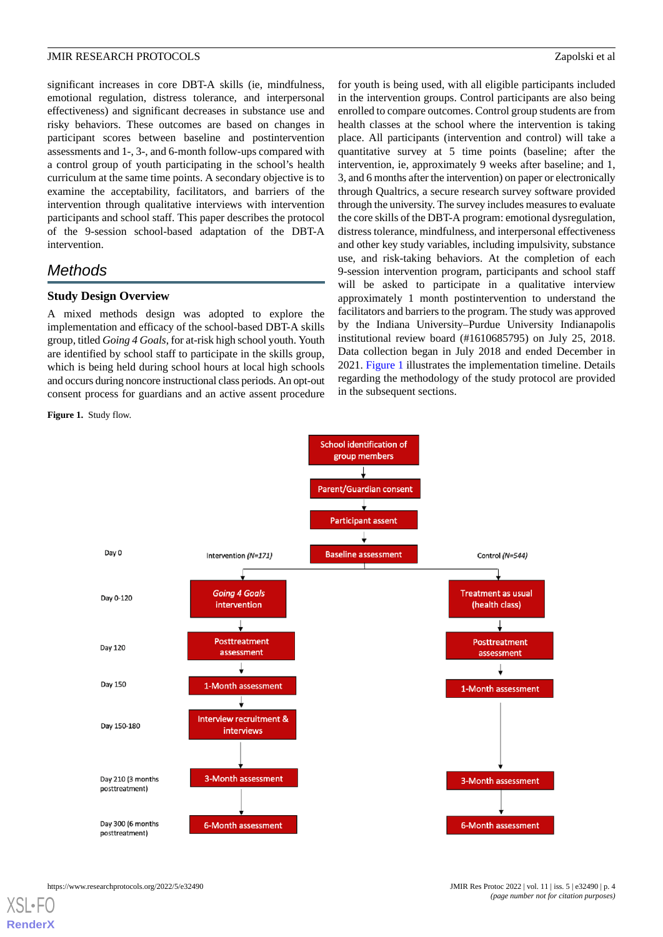significant increases in core DBT-A skills (ie, mindfulness, emotional regulation, distress tolerance, and interpersonal effectiveness) and significant decreases in substance use and risky behaviors. These outcomes are based on changes in participant scores between baseline and postintervention assessments and 1-, 3-, and 6-month follow-ups compared with a control group of youth participating in the school's health curriculum at the same time points. A secondary objective is to examine the acceptability, facilitators, and barriers of the intervention through qualitative interviews with intervention participants and school staff. This paper describes the protocol of the 9-session school-based adaptation of the DBT-A intervention.

# *Methods*

#### **Study Design Overview**

A mixed methods design was adopted to explore the implementation and efficacy of the school-based DBT-A skills group, titled *Going 4 Goals*, for at-risk high school youth. Youth are identified by school staff to participate in the skills group, which is being held during school hours at local high schools and occurs during noncore instructional class periods. An opt-out consent process for guardians and an active assent procedure

<span id="page-3-0"></span>**Figure 1.** Study flow.

for youth is being used, with all eligible participants included in the intervention groups. Control participants are also being enrolled to compare outcomes. Control group students are from health classes at the school where the intervention is taking place. All participants (intervention and control) will take a quantitative survey at 5 time points (baseline; after the intervention, ie, approximately 9 weeks after baseline; and 1, 3, and 6 months after the intervention) on paper or electronically through Qualtrics, a secure research survey software provided through the university. The survey includes measures to evaluate the core skills of the DBT-A program: emotional dysregulation, distress tolerance, mindfulness, and interpersonal effectiveness and other key study variables, including impulsivity, substance use, and risk-taking behaviors. At the completion of each 9-session intervention program, participants and school staff will be asked to participate in a qualitative interview approximately 1 month postintervention to understand the facilitators and barriers to the program. The study was approved by the Indiana University–Purdue University Indianapolis institutional review board (#1610685795) on July 25, 2018. Data collection began in July 2018 and ended December in 2021. [Figure 1](#page-3-0) illustrates the implementation timeline. Details regarding the methodology of the study protocol are provided in the subsequent sections.

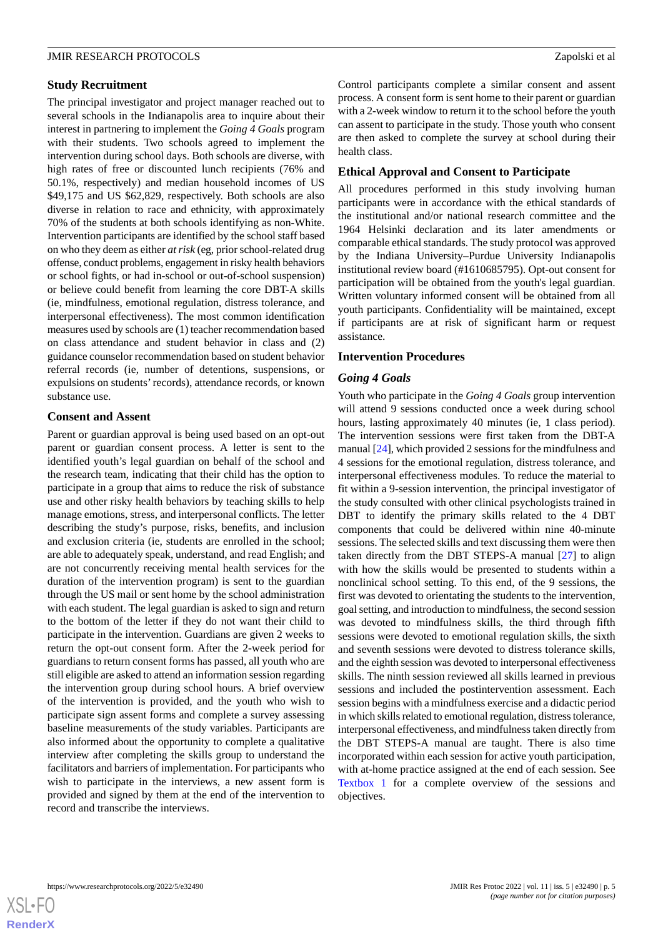#### **Study Recruitment**

The principal investigator and project manager reached out to several schools in the Indianapolis area to inquire about their interest in partnering to implement the *Going 4 Goals* program with their students. Two schools agreed to implement the intervention during school days. Both schools are diverse, with high rates of free or discounted lunch recipients (76% and 50.1%, respectively) and median household incomes of US \$49,175 and US \$62,829, respectively. Both schools are also diverse in relation to race and ethnicity, with approximately 70% of the students at both schools identifying as non-White. Intervention participants are identified by the school staff based on who they deem as either *at risk* (eg, prior school-related drug offense, conduct problems, engagement in risky health behaviors or school fights, or had in-school or out-of-school suspension) or believe could benefit from learning the core DBT-A skills (ie, mindfulness, emotional regulation, distress tolerance, and interpersonal effectiveness). The most common identification measures used by schools are (1) teacher recommendation based on class attendance and student behavior in class and (2) guidance counselor recommendation based on student behavior referral records (ie, number of detentions, suspensions, or expulsions on students'records), attendance records, or known substance use.

#### **Consent and Assent**

Parent or guardian approval is being used based on an opt-out parent or guardian consent process. A letter is sent to the identified youth's legal guardian on behalf of the school and the research team, indicating that their child has the option to participate in a group that aims to reduce the risk of substance use and other risky health behaviors by teaching skills to help manage emotions, stress, and interpersonal conflicts. The letter describing the study's purpose, risks, benefits, and inclusion and exclusion criteria (ie, students are enrolled in the school; are able to adequately speak, understand, and read English; and are not concurrently receiving mental health services for the duration of the intervention program) is sent to the guardian through the US mail or sent home by the school administration with each student. The legal guardian is asked to sign and return to the bottom of the letter if they do not want their child to participate in the intervention. Guardians are given 2 weeks to return the opt-out consent form. After the 2-week period for guardians to return consent forms has passed, all youth who are still eligible are asked to attend an information session regarding the intervention group during school hours. A brief overview of the intervention is provided, and the youth who wish to participate sign assent forms and complete a survey assessing baseline measurements of the study variables. Participants are also informed about the opportunity to complete a qualitative interview after completing the skills group to understand the facilitators and barriers of implementation. For participants who wish to participate in the interviews, a new assent form is provided and signed by them at the end of the intervention to record and transcribe the interviews.

Control participants complete a similar consent and assent process. A consent form is sent home to their parent or guardian with a 2-week window to return it to the school before the youth can assent to participate in the study. Those youth who consent are then asked to complete the survey at school during their health class.

#### **Ethical Approval and Consent to Participate**

All procedures performed in this study involving human participants were in accordance with the ethical standards of the institutional and/or national research committee and the 1964 Helsinki declaration and its later amendments or comparable ethical standards. The study protocol was approved by the Indiana University–Purdue University Indianapolis institutional review board (#1610685795). Opt-out consent for participation will be obtained from the youth's legal guardian. Written voluntary informed consent will be obtained from all youth participants. Confidentiality will be maintained, except if participants are at risk of significant harm or request assistance.

#### **Intervention Procedures**

#### *Going 4 Goals*

Youth who participate in the *Going 4 Goals* group intervention will attend 9 sessions conducted once a week during school hours, lasting approximately 40 minutes (ie, 1 class period). The intervention sessions were first taken from the DBT-A manual [\[24](#page-10-15)], which provided 2 sessions for the mindfulness and 4 sessions for the emotional regulation, distress tolerance, and interpersonal effectiveness modules. To reduce the material to fit within a 9-session intervention, the principal investigator of the study consulted with other clinical psychologists trained in DBT to identify the primary skills related to the 4 DBT components that could be delivered within nine 40-minute sessions. The selected skills and text discussing them were then taken directly from the DBT STEPS-A manual [\[27](#page-10-18)] to align with how the skills would be presented to students within a nonclinical school setting. To this end, of the 9 sessions, the first was devoted to orientating the students to the intervention, goal setting, and introduction to mindfulness, the second session was devoted to mindfulness skills, the third through fifth sessions were devoted to emotional regulation skills, the sixth and seventh sessions were devoted to distress tolerance skills, and the eighth session was devoted to interpersonal effectiveness skills. The ninth session reviewed all skills learned in previous sessions and included the postintervention assessment. Each session begins with a mindfulness exercise and a didactic period in which skills related to emotional regulation, distress tolerance, interpersonal effectiveness, and mindfulness taken directly from the DBT STEPS-A manual are taught. There is also time incorporated within each session for active youth participation, with at-home practice assigned at the end of each session. See [Textbox 1](#page-5-0) for a complete overview of the sessions and objectives.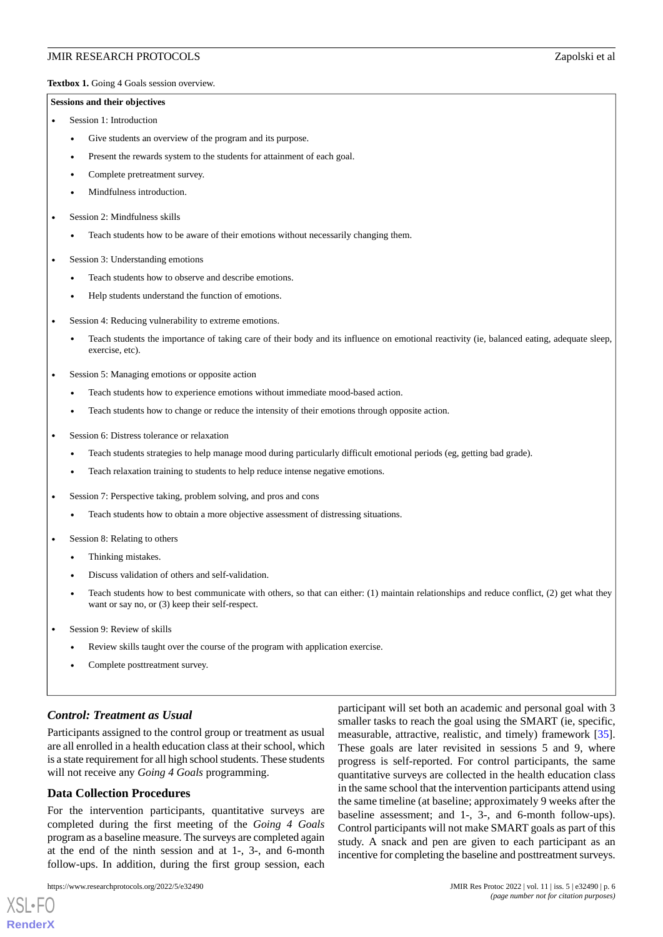<span id="page-5-0"></span>Textbox 1. Going 4 Goals session overview.

#### **Sessions and their objectives**

- Session 1: Introduction
	- Give students an overview of the program and its purpose.
	- Present the rewards system to the students for attainment of each goal.
	- Complete pretreatment survey.
	- Mindfulness introduction.
- Session 2: Mindfulness skills
	- Teach students how to be aware of their emotions without necessarily changing them.
- Session 3: Understanding emotions
	- Teach students how to observe and describe emotions.
	- Help students understand the function of emotions.
- Session 4: Reducing vulnerability to extreme emotions.
	- Teach students the importance of taking care of their body and its influence on emotional reactivity (ie, balanced eating, adequate sleep, exercise, etc).
- Session 5: Managing emotions or opposite action
	- Teach students how to experience emotions without immediate mood-based action.
	- Teach students how to change or reduce the intensity of their emotions through opposite action.
- Session 6: Distress tolerance or relaxation
	- Teach students strategies to help manage mood during particularly difficult emotional periods (eg, getting bad grade).
	- Teach relaxation training to students to help reduce intense negative emotions.
- Session 7: Perspective taking, problem solving, and pros and cons
	- Teach students how to obtain a more objective assessment of distressing situations.
- Session 8: Relating to others
	- Thinking mistakes.
	- Discuss validation of others and self-validation.
	- Teach students how to best communicate with others, so that can either: (1) maintain relationships and reduce conflict, (2) get what they want or say no, or (3) keep their self-respect.
- Session 9: Review of skills
	- Review skills taught over the course of the program with application exercise.
	- Complete posttreatment survey.

#### *Control: Treatment as Usual*

Participants assigned to the control group or treatment as usual are all enrolled in a health education class at their school, which is a state requirement for all high school students. These students will not receive any *Going 4 Goals* programming.

#### **Data Collection Procedures**

For the intervention participants, quantitative surveys are completed during the first meeting of the *Going 4 Goals* program as a baseline measure. The surveys are completed again at the end of the ninth session and at 1-, 3-, and 6-month follow-ups. In addition, during the first group session, each

[XSL](http://www.w3.org/Style/XSL)•FO **[RenderX](http://www.renderx.com/)**

participant will set both an academic and personal goal with 3 smaller tasks to reach the goal using the SMART (ie, specific, measurable, attractive, realistic, and timely) framework [[35\]](#page-11-6). These goals are later revisited in sessions 5 and 9, where progress is self-reported. For control participants, the same quantitative surveys are collected in the health education class in the same school that the intervention participants attend using the same timeline (at baseline; approximately 9 weeks after the baseline assessment; and 1-, 3-, and 6-month follow-ups). Control participants will not make SMART goals as part of this study. A snack and pen are given to each participant as an incentive for completing the baseline and posttreatment surveys.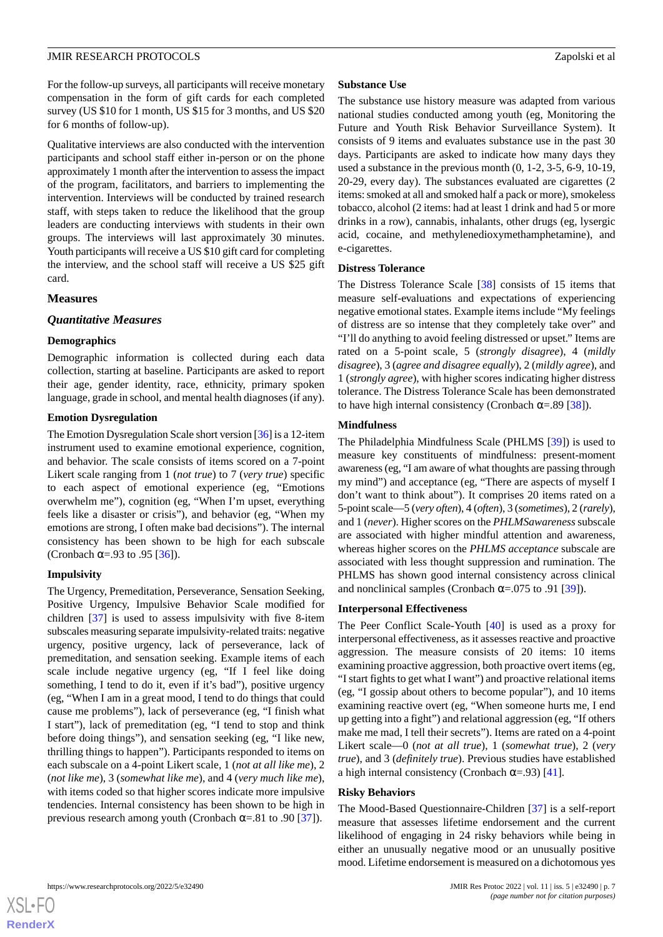For the follow-up surveys, all participants will receive monetary compensation in the form of gift cards for each completed survey (US \$10 for 1 month, US \$15 for 3 months, and US \$20 for 6 months of follow-up).

Qualitative interviews are also conducted with the intervention participants and school staff either in-person or on the phone approximately 1 month after the intervention to assess the impact of the program, facilitators, and barriers to implementing the intervention. Interviews will be conducted by trained research staff, with steps taken to reduce the likelihood that the group leaders are conducting interviews with students in their own groups. The interviews will last approximately 30 minutes. Youth participants will receive a US \$10 gift card for completing the interview, and the school staff will receive a US \$25 gift card.

#### **Measures**

#### *Quantitative Measures*

#### **Demographics**

Demographic information is collected during each data collection, starting at baseline. Participants are asked to report their age, gender identity, race, ethnicity, primary spoken language, grade in school, and mental health diagnoses (if any).

#### **Emotion Dysregulation**

The Emotion Dysregulation Scale short version [\[36](#page-11-7)] is a 12-item instrument used to examine emotional experience, cognition, and behavior. The scale consists of items scored on a 7-point Likert scale ranging from 1 (*not true*) to 7 (*very true*) specific to each aspect of emotional experience (eg, "Emotions overwhelm me"), cognition (eg, "When I'm upset, everything feels like a disaster or crisis"), and behavior (eg, "When my emotions are strong, I often make bad decisions"). The internal consistency has been shown to be high for each subscale (Cronbach  $\alpha = .93$  to  $.95$  [[36\]](#page-11-7)).

## **Impulsivity**

The Urgency, Premeditation, Perseverance, Sensation Seeking, Positive Urgency, Impulsive Behavior Scale modified for children [[37\]](#page-11-8) is used to assess impulsivity with five 8-item subscales measuring separate impulsivity-related traits: negative urgency, positive urgency, lack of perseverance, lack of premeditation, and sensation seeking. Example items of each scale include negative urgency (eg, "If I feel like doing something, I tend to do it, even if it's bad"), positive urgency (eg, "When I am in a great mood, I tend to do things that could cause me problems"), lack of perseverance (eg, "I finish what I start"), lack of premeditation (eg, "I tend to stop and think before doing things"), and sensation seeking (eg, "I like new, thrilling things to happen"). Participants responded to items on each subscale on a 4-point Likert scale, 1 (*not at all like me*), 2 (*not like me*), 3 (*somewhat like me*), and 4 (*very much like me*), with items coded so that higher scores indicate more impulsive tendencies. Internal consistency has been shown to be high in previous research among youth (Cronbach  $\alpha$ =.81 to .90 [\[37](#page-11-8)]).

#### **Substance Use**

The substance use history measure was adapted from various national studies conducted among youth (eg, Monitoring the Future and Youth Risk Behavior Surveillance System). It consists of 9 items and evaluates substance use in the past 30 days. Participants are asked to indicate how many days they used a substance in the previous month (0, 1-2, 3-5, 6-9, 10-19, 20-29, every day). The substances evaluated are cigarettes (2 items: smoked at all and smoked half a pack or more), smokeless tobacco, alcohol (2 items: had at least 1 drink and had 5 or more drinks in a row), cannabis, inhalants, other drugs (eg, lysergic acid, cocaine, and methylenedioxymethamphetamine), and e-cigarettes.

#### **Distress Tolerance**

The Distress Tolerance Scale [\[38](#page-11-9)] consists of 15 items that measure self-evaluations and expectations of experiencing negative emotional states. Example items include "My feelings of distress are so intense that they completely take over" and "I'll do anything to avoid feeling distressed or upset." Items are rated on a 5-point scale, 5 (*strongly disagree*), 4 (*mildly disagree*), 3 (*agree and disagree equally*), 2 (*mildly agree*), and 1 (*strongly agree*), with higher scores indicating higher distress tolerance. The Distress Tolerance Scale has been demonstrated to have high internal consistency (Cronbach  $\alpha = .89$  [\[38](#page-11-9)]).

#### **Mindfulness**

The Philadelphia Mindfulness Scale (PHLMS [[39\]](#page-11-10)) is used to measure key constituents of mindfulness: present-moment awareness (eg, "I am aware of what thoughts are passing through my mind") and acceptance (eg, "There are aspects of myself I don't want to think about"). It comprises 20 items rated on a 5-point scale—5 (*very often*), 4 (*often*), 3 (*sometimes*), 2 (*rarely*), and 1 (*never*). Higher scores on the *PHLMSawareness*subscale are associated with higher mindful attention and awareness, whereas higher scores on the *PHLMS acceptance* subscale are associated with less thought suppression and rumination. The PHLMS has shown good internal consistency across clinical and nonclinical samples (Cronbach  $\alpha$ =.075 to .91 [[39\]](#page-11-10)).

#### **Interpersonal Effectiveness**

The Peer Conflict Scale-Youth [[40\]](#page-11-11) is used as a proxy for interpersonal effectiveness, as it assesses reactive and proactive aggression. The measure consists of 20 items: 10 items examining proactive aggression, both proactive overt items (eg, "I start fights to get what I want") and proactive relational items (eg, "I gossip about others to become popular"), and 10 items examining reactive overt (eg, "When someone hurts me, I end up getting into a fight") and relational aggression (eg, "If others make me mad, I tell their secrets"). Items are rated on a 4-point Likert scale—0 (*not at all true*), 1 (*somewhat true*), 2 (*very true*), and 3 (*definitely true*). Previous studies have established a high internal consistency (Cronbach  $\alpha$ =.93) [\[41](#page-11-12)].

#### **Risky Behaviors**

The Mood-Based Questionnaire-Children [[37\]](#page-11-8) is a self-report measure that assesses lifetime endorsement and the current likelihood of engaging in 24 risky behaviors while being in either an unusually negative mood or an unusually positive mood. Lifetime endorsement is measured on a dichotomous yes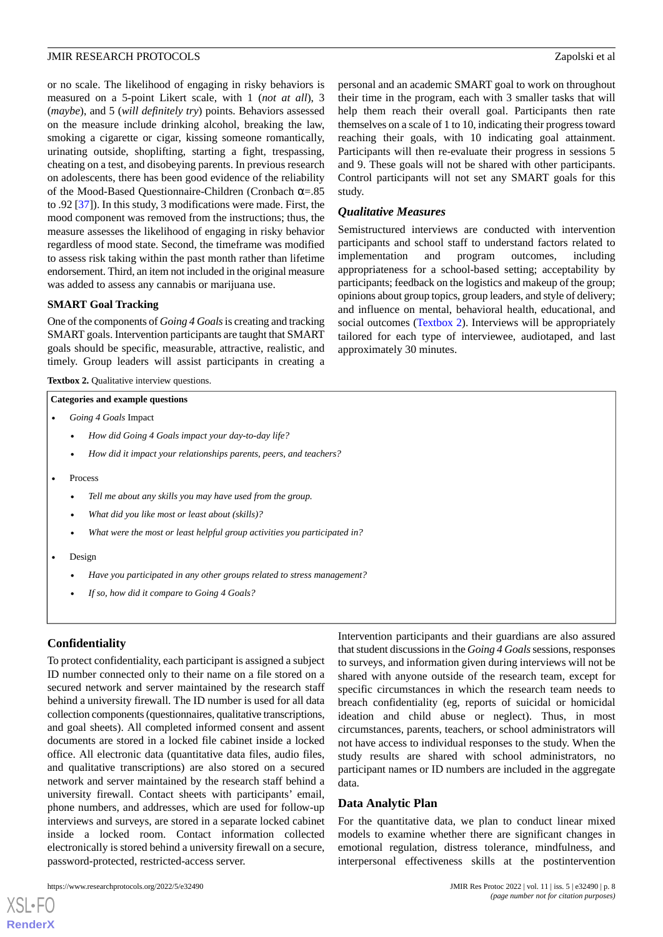or no scale. The likelihood of engaging in risky behaviors is measured on a 5-point Likert scale, with 1 (*not at all*), 3 (*maybe*), and 5 (*will definitely try*) points. Behaviors assessed on the measure include drinking alcohol, breaking the law, smoking a cigarette or cigar, kissing someone romantically, urinating outside, shoplifting, starting a fight, trespassing, cheating on a test, and disobeying parents. In previous research on adolescents, there has been good evidence of the reliability of the Mood-Based Questionnaire-Children (Cronbach α=.85 to .92 [\[37](#page-11-8)]). In this study, 3 modifications were made. First, the mood component was removed from the instructions; thus, the measure assesses the likelihood of engaging in risky behavior regardless of mood state. Second, the timeframe was modified to assess risk taking within the past month rather than lifetime endorsement. Third, an item not included in the original measure was added to assess any cannabis or marijuana use.

#### **SMART Goal Tracking**

<span id="page-7-0"></span>One of the components of *Going 4 Goals*is creating and tracking SMART goals. Intervention participants are taught that SMART goals should be specific, measurable, attractive, realistic, and timely. Group leaders will assist participants in creating a

**Textbox 2.** Qualitative interview questions.

#### **Categories and example questions**

- *Going 4 Goals* Impact
	- *How did Going 4 Goals impact your day-to-day life?*
	- *How did it impact your relationships parents, peers, and teachers?*
- Process
	- *Tell me about any skills you may have used from the group.*
	- *What did you like most or least about (skills)?*
	- *What were the most or least helpful group activities you participated in?*
- Design
	- *Have you participated in any other groups related to stress management?*
	- *If so, how did it compare to Going 4 Goals?*

#### **Confidentiality**

[XSL](http://www.w3.org/Style/XSL)•FO **[RenderX](http://www.renderx.com/)**

To protect confidentiality, each participant is assigned a subject ID number connected only to their name on a file stored on a secured network and server maintained by the research staff behind a university firewall. The ID number is used for all data collection components (questionnaires, qualitative transcriptions, and goal sheets). All completed informed consent and assent documents are stored in a locked file cabinet inside a locked office. All electronic data (quantitative data files, audio files, and qualitative transcriptions) are also stored on a secured network and server maintained by the research staff behind a university firewall. Contact sheets with participants' email, phone numbers, and addresses, which are used for follow-up interviews and surveys, are stored in a separate locked cabinet inside a locked room. Contact information collected electronically is stored behind a university firewall on a secure, password-protected, restricted-access server.

personal and an academic SMART goal to work on throughout their time in the program, each with 3 smaller tasks that will help them reach their overall goal. Participants then rate themselves on a scale of 1 to 10, indicating their progress toward reaching their goals, with 10 indicating goal attainment. Participants will then re-evaluate their progress in sessions 5 and 9. These goals will not be shared with other participants. Control participants will not set any SMART goals for this study.

#### *Qualitative Measures*

Semistructured interviews are conducted with intervention participants and school staff to understand factors related to implementation and program outcomes, including appropriateness for a school-based setting; acceptability by participants; feedback on the logistics and makeup of the group; opinions about group topics, group leaders, and style of delivery; and influence on mental, behavioral health, educational, and social outcomes [\(Textbox 2\)](#page-7-0). Interviews will be appropriately tailored for each type of interviewee, audiotaped, and last approximately 30 minutes.

Intervention participants and their guardians are also assured that student discussions in the *Going 4 Goals*sessions, responses to surveys, and information given during interviews will not be shared with anyone outside of the research team, except for specific circumstances in which the research team needs to breach confidentiality (eg, reports of suicidal or homicidal ideation and child abuse or neglect). Thus, in most circumstances, parents, teachers, or school administrators will not have access to individual responses to the study. When the study results are shared with school administrators, no participant names or ID numbers are included in the aggregate data.

#### **Data Analytic Plan**

For the quantitative data, we plan to conduct linear mixed models to examine whether there are significant changes in emotional regulation, distress tolerance, mindfulness, and interpersonal effectiveness skills at the postintervention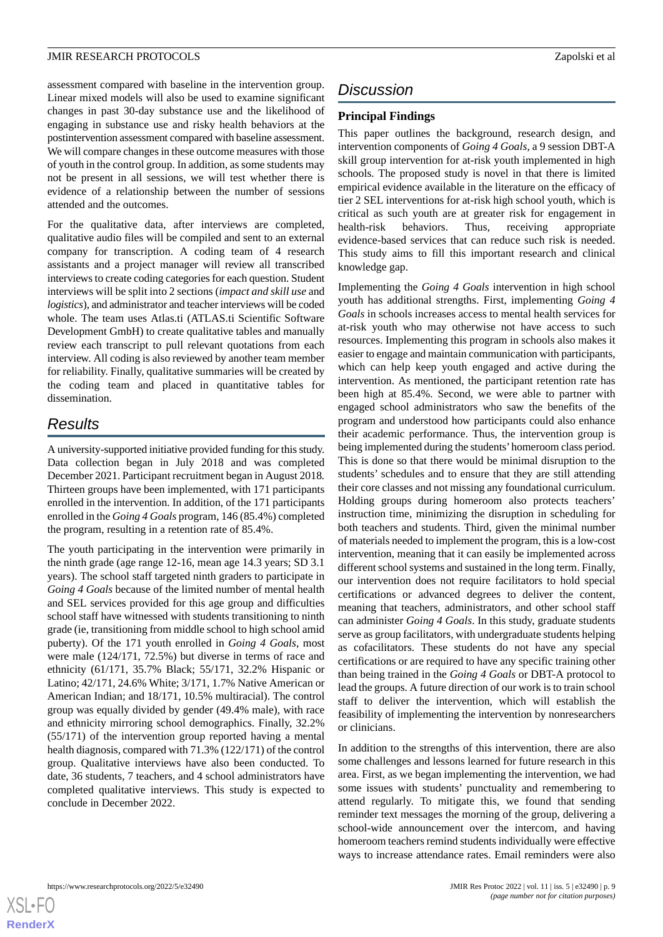assessment compared with baseline in the intervention group. Linear mixed models will also be used to examine significant changes in past 30-day substance use and the likelihood of engaging in substance use and risky health behaviors at the postintervention assessment compared with baseline assessment. We will compare changes in these outcome measures with those of youth in the control group. In addition, as some students may not be present in all sessions, we will test whether there is evidence of a relationship between the number of sessions attended and the outcomes.

For the qualitative data, after interviews are completed, qualitative audio files will be compiled and sent to an external company for transcription. A coding team of 4 research assistants and a project manager will review all transcribed interviews to create coding categories for each question. Student interviews will be split into 2 sections (*impact and skill use* and *logistics*), and administrator and teacher interviews will be coded whole. The team uses Atlas.ti (ATLAS.ti Scientific Software Development GmbH) to create qualitative tables and manually review each transcript to pull relevant quotations from each interview. All coding is also reviewed by another team member for reliability. Finally, qualitative summaries will be created by the coding team and placed in quantitative tables for dissemination.

# *Results*

A university-supported initiative provided funding for this study. Data collection began in July 2018 and was completed December 2021. Participant recruitment began in August 2018*.* Thirteen groups have been implemented, with 171 participants enrolled in the intervention. In addition, of the 171 participants enrolled in the *Going 4 Goals* program, 146 (85.4%) completed the program, resulting in a retention rate of 85.4%.

The youth participating in the intervention were primarily in the ninth grade (age range 12-16, mean age 14.3 years; SD 3.1 years). The school staff targeted ninth graders to participate in *Going 4 Goals* because of the limited number of mental health and SEL services provided for this age group and difficulties school staff have witnessed with students transitioning to ninth grade (ie, transitioning from middle school to high school amid puberty). Of the 171 youth enrolled in *Going 4 Goals*, most were male (124/171, 72.5%) but diverse in terms of race and ethnicity (61/171, 35.7% Black; 55/171, 32.2% Hispanic or Latino; 42/171, 24.6% White; 3/171, 1.7% Native American or American Indian; and 18/171, 10.5% multiracial). The control group was equally divided by gender (49.4% male), with race and ethnicity mirroring school demographics. Finally, 32.2% (55/171) of the intervention group reported having a mental health diagnosis, compared with 71.3% (122/171) of the control group. Qualitative interviews have also been conducted. To date, 36 students, 7 teachers, and 4 school administrators have completed qualitative interviews. This study is expected to conclude in December 2022.

# *Discussion*

# **Principal Findings**

This paper outlines the background, research design, and intervention components of *Going 4 Goals*, a 9 session DBT-A skill group intervention for at-risk youth implemented in high schools. The proposed study is novel in that there is limited empirical evidence available in the literature on the efficacy of tier 2 SEL interventions for at-risk high school youth, which is critical as such youth are at greater risk for engagement in health-risk behaviors. Thus, receiving appropriate evidence-based services that can reduce such risk is needed. This study aims to fill this important research and clinical knowledge gap.

Implementing the *Going 4 Goals* intervention in high school youth has additional strengths. First, implementing *Going 4 Goals* in schools increases access to mental health services for at-risk youth who may otherwise not have access to such resources. Implementing this program in schools also makes it easier to engage and maintain communication with participants, which can help keep youth engaged and active during the intervention. As mentioned, the participant retention rate has been high at 85.4%. Second, we were able to partner with engaged school administrators who saw the benefits of the program and understood how participants could also enhance their academic performance. Thus, the intervention group is being implemented during the students' homeroom class period. This is done so that there would be minimal disruption to the students' schedules and to ensure that they are still attending their core classes and not missing any foundational curriculum. Holding groups during homeroom also protects teachers' instruction time, minimizing the disruption in scheduling for both teachers and students. Third, given the minimal number of materials needed to implement the program, this is a low-cost intervention, meaning that it can easily be implemented across different school systems and sustained in the long term. Finally, our intervention does not require facilitators to hold special certifications or advanced degrees to deliver the content, meaning that teachers, administrators, and other school staff can administer *Going 4 Goals*. In this study, graduate students serve as group facilitators, with undergraduate students helping as cofacilitators. These students do not have any special certifications or are required to have any specific training other than being trained in the *Going 4 Goals* or DBT-A protocol to lead the groups. A future direction of our work is to train school staff to deliver the intervention, which will establish the feasibility of implementing the intervention by nonresearchers or clinicians.

In addition to the strengths of this intervention, there are also some challenges and lessons learned for future research in this area. First, as we began implementing the intervention, we had some issues with students' punctuality and remembering to attend regularly. To mitigate this, we found that sending reminder text messages the morning of the group, delivering a school-wide announcement over the intercom, and having homeroom teachers remind students individually were effective ways to increase attendance rates. Email reminders were also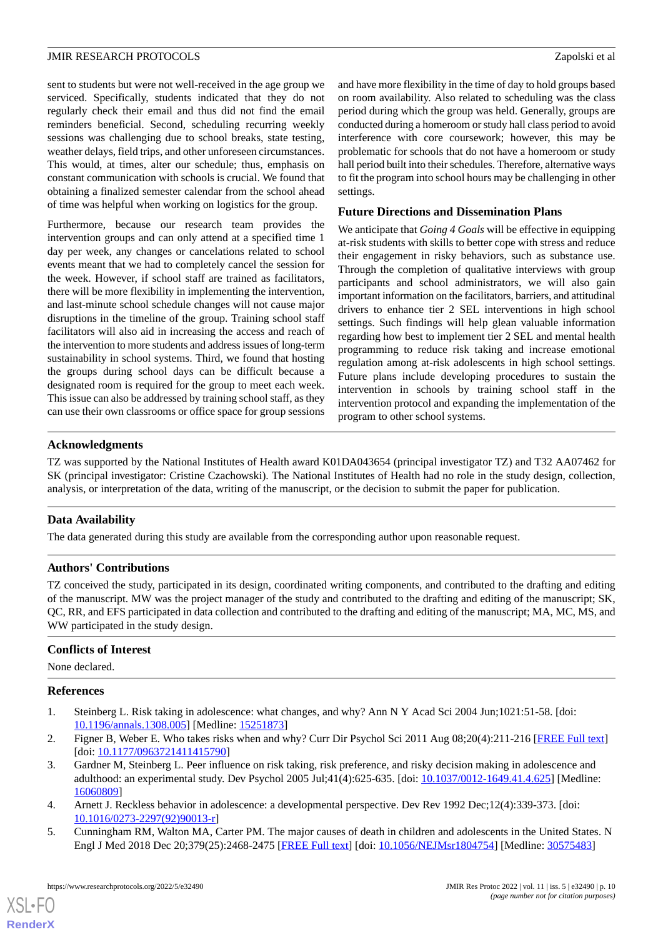sent to students but were not well-received in the age group we serviced. Specifically, students indicated that they do not regularly check their email and thus did not find the email reminders beneficial. Second, scheduling recurring weekly sessions was challenging due to school breaks, state testing, weather delays, field trips, and other unforeseen circumstances. This would, at times, alter our schedule; thus, emphasis on constant communication with schools is crucial. We found that obtaining a finalized semester calendar from the school ahead of time was helpful when working on logistics for the group.

Furthermore, because our research team provides the intervention groups and can only attend at a specified time 1 day per week, any changes or cancelations related to school events meant that we had to completely cancel the session for the week. However, if school staff are trained as facilitators, there will be more flexibility in implementing the intervention, and last-minute school schedule changes will not cause major disruptions in the timeline of the group. Training school staff facilitators will also aid in increasing the access and reach of the intervention to more students and address issues of long-term sustainability in school systems. Third, we found that hosting the groups during school days can be difficult because a designated room is required for the group to meet each week. This issue can also be addressed by training school staff, as they can use their own classrooms or office space for group sessions

and have more flexibility in the time of day to hold groups based on room availability. Also related to scheduling was the class period during which the group was held. Generally, groups are conducted during a homeroom or study hall class period to avoid interference with core coursework; however, this may be problematic for schools that do not have a homeroom or study hall period built into their schedules. Therefore, alternative ways to fit the program into school hours may be challenging in other settings.

#### **Future Directions and Dissemination Plans**

We anticipate that *Going 4 Goals* will be effective in equipping at-risk students with skills to better cope with stress and reduce their engagement in risky behaviors, such as substance use. Through the completion of qualitative interviews with group participants and school administrators, we will also gain important information on the facilitators, barriers, and attitudinal drivers to enhance tier 2 SEL interventions in high school settings. Such findings will help glean valuable information regarding how best to implement tier 2 SEL and mental health programming to reduce risk taking and increase emotional regulation among at-risk adolescents in high school settings. Future plans include developing procedures to sustain the intervention in schools by training school staff in the intervention protocol and expanding the implementation of the program to other school systems.

#### **Acknowledgments**

TZ was supported by the National Institutes of Health award K01DA043654 (principal investigator TZ) and T32 AA07462 for SK (principal investigator: Cristine Czachowski). The National Institutes of Health had no role in the study design, collection, analysis, or interpretation of the data, writing of the manuscript, or the decision to submit the paper for publication.

## **Data Availability**

The data generated during this study are available from the corresponding author upon reasonable request.

#### **Authors' Contributions**

TZ conceived the study, participated in its design, coordinated writing components, and contributed to the drafting and editing of the manuscript. MW was the project manager of the study and contributed to the drafting and editing of the manuscript; SK, QC, RR, and EFS participated in data collection and contributed to the drafting and editing of the manuscript; MA, MC, MS, and WW participated in the study design.

#### <span id="page-9-0"></span>**Conflicts of Interest**

None declared.

#### <span id="page-9-1"></span>**References**

- 1. Steinberg L. Risk taking in adolescence: what changes, and why? Ann N Y Acad Sci 2004 Jun;1021:51-58. [doi: [10.1196/annals.1308.005](http://dx.doi.org/10.1196/annals.1308.005)] [Medline: [15251873](http://www.ncbi.nlm.nih.gov/entrez/query.fcgi?cmd=Retrieve&db=PubMed&list_uids=15251873&dopt=Abstract)]
- <span id="page-9-3"></span><span id="page-9-2"></span>2. Figner B, Weber E. Who takes risks when and why? Curr Dir Psychol Sci 2011 Aug 08;20(4):211-216 [\[FREE Full text\]](https://doi.org/10.1177/0963721411415790) [doi: [10.1177/0963721411415790](http://dx.doi.org/10.1177/0963721411415790)]
- 3. Gardner M, Steinberg L. Peer influence on risk taking, risk preference, and risky decision making in adolescence and adulthood: an experimental study. Dev Psychol 2005 Jul;41(4):625-635. [doi: [10.1037/0012-1649.41.4.625\]](http://dx.doi.org/10.1037/0012-1649.41.4.625) [Medline: [16060809](http://www.ncbi.nlm.nih.gov/entrez/query.fcgi?cmd=Retrieve&db=PubMed&list_uids=16060809&dopt=Abstract)]
- 4. Arnett J. Reckless behavior in adolescence: a developmental perspective. Dev Rev 1992 Dec;12(4):339-373. [doi: [10.1016/0273-2297\(92\)90013-r](http://dx.doi.org/10.1016/0273-2297(92)90013-r)]
- 5. Cunningham RM, Walton MA, Carter PM. The major causes of death in children and adolescents in the United States. N Engl J Med 2018 Dec 20;379(25):2468-2475 [[FREE Full text](http://europepmc.org/abstract/MED/30575483)] [doi: [10.1056/NEJMsr1804754\]](http://dx.doi.org/10.1056/NEJMsr1804754) [Medline: [30575483\]](http://www.ncbi.nlm.nih.gov/entrez/query.fcgi?cmd=Retrieve&db=PubMed&list_uids=30575483&dopt=Abstract)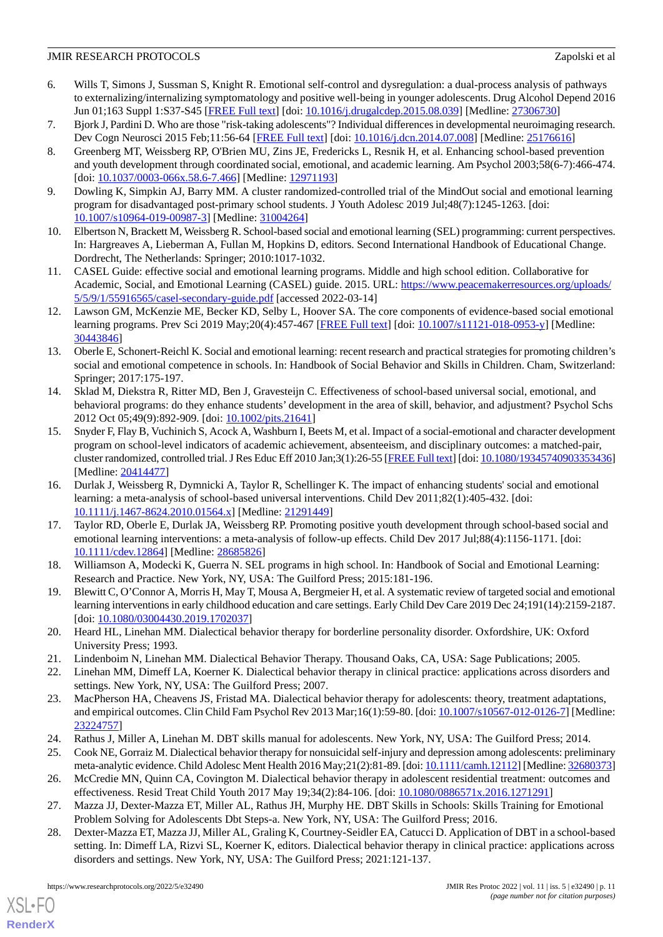- <span id="page-10-0"></span>6. Wills T, Simons J, Sussman S, Knight R. Emotional self-control and dysregulation: a dual-process analysis of pathways to externalizing/internalizing symptomatology and positive well-being in younger adolescents. Drug Alcohol Depend 2016 Jun 01;163 Suppl 1:S37-S45 [\[FREE Full text\]](https://linkinghub.elsevier.com/retrieve/pii/S0376-8716(16)00119-8) [doi: [10.1016/j.drugalcdep.2015.08.039](http://dx.doi.org/10.1016/j.drugalcdep.2015.08.039)] [Medline: [27306730\]](http://www.ncbi.nlm.nih.gov/entrez/query.fcgi?cmd=Retrieve&db=PubMed&list_uids=27306730&dopt=Abstract)
- <span id="page-10-2"></span><span id="page-10-1"></span>7. Bjork J, Pardini D. Who are those "risk-taking adolescents"? Individual differences in developmental neuroimaging research. Dev Cogn Neurosci 2015 Feb;11:56-64 [\[FREE Full text\]](https://linkinghub.elsevier.com/retrieve/pii/S1878-9293(14)00050-4) [doi: [10.1016/j.dcn.2014.07.008\]](http://dx.doi.org/10.1016/j.dcn.2014.07.008) [Medline: [25176616](http://www.ncbi.nlm.nih.gov/entrez/query.fcgi?cmd=Retrieve&db=PubMed&list_uids=25176616&dopt=Abstract)]
- 8. Greenberg MT, Weissberg RP, O'Brien MU, Zins JE, Fredericks L, Resnik H, et al. Enhancing school-based prevention and youth development through coordinated social, emotional, and academic learning. Am Psychol 2003;58(6-7):466-474. [doi: [10.1037/0003-066x.58.6-7.466](http://dx.doi.org/10.1037/0003-066x.58.6-7.466)] [Medline: [12971193](http://www.ncbi.nlm.nih.gov/entrez/query.fcgi?cmd=Retrieve&db=PubMed&list_uids=12971193&dopt=Abstract)]
- <span id="page-10-4"></span><span id="page-10-3"></span>9. Dowling K, Simpkin AJ, Barry MM. A cluster randomized-controlled trial of the MindOut social and emotional learning program for disadvantaged post-primary school students. J Youth Adolesc 2019 Jul;48(7):1245-1263. [doi: [10.1007/s10964-019-00987-3\]](http://dx.doi.org/10.1007/s10964-019-00987-3) [Medline: [31004264\]](http://www.ncbi.nlm.nih.gov/entrez/query.fcgi?cmd=Retrieve&db=PubMed&list_uids=31004264&dopt=Abstract)
- <span id="page-10-5"></span>10. Elbertson N, Brackett M, Weissberg R. School-based social and emotional learning (SEL) programming: current perspectives. In: Hargreaves A, Lieberman A, Fullan M, Hopkins D, editors. Second International Handbook of Educational Change. Dordrecht, The Netherlands: Springer; 2010:1017-1032.
- 11. CASEL Guide: effective social and emotional learning programs. Middle and high school edition. Collaborative for Academic, Social, and Emotional Learning (CASEL) guide. 2015. URL: [https://www.peacemakerresources.org/uploads/](https://www.peacemakerresources.org/uploads/5/5/9/1/55916565/casel-secondary-guide.pdf) [5/5/9/1/55916565/casel-secondary-guide.pdf](https://www.peacemakerresources.org/uploads/5/5/9/1/55916565/casel-secondary-guide.pdf) [accessed 2022-03-14]
- <span id="page-10-6"></span>12. Lawson GM, McKenzie ME, Becker KD, Selby L, Hoover SA. The core components of evidence-based social emotional learning programs. Prev Sci 2019 May; 20(4): 457-467 [[FREE Full text](http://europepmc.org/abstract/MED/30443846)] [doi: [10.1007/s11121-018-0953-y](http://dx.doi.org/10.1007/s11121-018-0953-y)] [Medline: [30443846](http://www.ncbi.nlm.nih.gov/entrez/query.fcgi?cmd=Retrieve&db=PubMed&list_uids=30443846&dopt=Abstract)]
- <span id="page-10-7"></span>13. Oberle E, Schonert-Reichl K. Social and emotional learning: recent research and practical strategies for promoting children's social and emotional competence in schools. In: Handbook of Social Behavior and Skills in Children. Cham, Switzerland: Springer; 2017:175-197.
- 14. Sklad M, Diekstra R, Ritter MD, Ben J, Gravesteijn C. Effectiveness of school-based universal social, emotional, and behavioral programs: do they enhance students' development in the area of skill, behavior, and adjustment? Psychol Schs 2012 Oct 05;49(9):892-909. [doi: [10.1002/pits.21641](http://dx.doi.org/10.1002/pits.21641)]
- <span id="page-10-9"></span>15. Snyder F, Flay B, Vuchinich S, Acock A, Washburn I, Beets M, et al. Impact of a social-emotional and character development program on school-level indicators of academic achievement, absenteeism, and disciplinary outcomes: a matched-pair, cluster randomized, controlled trial. J Res Educ Eff 2010 Jan;3(1):26-55 [\[FREE Full text](http://europepmc.org/abstract/MED/20414477)] [doi: [10.1080/19345740903353436\]](http://dx.doi.org/10.1080/19345740903353436) [Medline: [20414477](http://www.ncbi.nlm.nih.gov/entrez/query.fcgi?cmd=Retrieve&db=PubMed&list_uids=20414477&dopt=Abstract)]
- <span id="page-10-8"></span>16. Durlak J, Weissberg R, Dymnicki A, Taylor R, Schellinger K. The impact of enhancing students' social and emotional learning: a meta-analysis of school-based universal interventions. Child Dev 2011;82(1):405-432. [doi: [10.1111/j.1467-8624.2010.01564.x\]](http://dx.doi.org/10.1111/j.1467-8624.2010.01564.x) [Medline: [21291449\]](http://www.ncbi.nlm.nih.gov/entrez/query.fcgi?cmd=Retrieve&db=PubMed&list_uids=21291449&dopt=Abstract)
- <span id="page-10-11"></span><span id="page-10-10"></span>17. Taylor RD, Oberle E, Durlak JA, Weissberg RP. Promoting positive youth development through school-based social and emotional learning interventions: a meta-analysis of follow-up effects. Child Dev 2017 Jul;88(4):1156-1171. [doi: [10.1111/cdev.12864](http://dx.doi.org/10.1111/cdev.12864)] [Medline: [28685826](http://www.ncbi.nlm.nih.gov/entrez/query.fcgi?cmd=Retrieve&db=PubMed&list_uids=28685826&dopt=Abstract)]
- <span id="page-10-12"></span>18. Williamson A, Modecki K, Guerra N. SEL programs in high school. In: Handbook of Social and Emotional Learning: Research and Practice. New York, NY, USA: The Guilford Press; 2015:181-196.
- <span id="page-10-13"></span>19. Blewitt C, O'Connor A, Morris H, May T, Mousa A, Bergmeier H, et al. A systematic review of targeted social and emotional learning interventions in early childhood education and care settings. Early Child Dev Care 2019 Dec 24;191(14):2159-2187. [doi: [10.1080/03004430.2019.1702037](http://dx.doi.org/10.1080/03004430.2019.1702037)]
- <span id="page-10-14"></span>20. Heard HL, Linehan MM. Dialectical behavior therapy for borderline personality disorder. Oxfordshire, UK: Oxford University Press; 1993.
- 21. Lindenboim N, Linehan MM. Dialectical Behavior Therapy. Thousand Oaks, CA, USA: Sage Publications; 2005.
- <span id="page-10-16"></span><span id="page-10-15"></span>22. Linehan MM, Dimeff LA, Koerner K. Dialectical behavior therapy in clinical practice: applications across disorders and settings. New York, NY, USA: The Guilford Press; 2007.
- <span id="page-10-17"></span>23. MacPherson HA, Cheavens JS, Fristad MA. Dialectical behavior therapy for adolescents: theory, treatment adaptations, and empirical outcomes. Clin Child Fam Psychol Rev 2013 Mar;16(1):59-80. [doi: [10.1007/s10567-012-0126-7](http://dx.doi.org/10.1007/s10567-012-0126-7)] [Medline: [23224757](http://www.ncbi.nlm.nih.gov/entrez/query.fcgi?cmd=Retrieve&db=PubMed&list_uids=23224757&dopt=Abstract)]
- <span id="page-10-18"></span>24. Rathus J, Miller A, Linehan M. DBT skills manual for adolescents. New York, NY, USA: The Guilford Press; 2014.
- <span id="page-10-19"></span>25. Cook NE, Gorraiz M. Dialectical behavior therapy for nonsuicidal self-injury and depression among adolescents: preliminary meta-analytic evidence. Child Adolesc Ment Health 2016 May;21(2):81-89. [doi: [10.1111/camh.12112\]](http://dx.doi.org/10.1111/camh.12112) [Medline: [32680373\]](http://www.ncbi.nlm.nih.gov/entrez/query.fcgi?cmd=Retrieve&db=PubMed&list_uids=32680373&dopt=Abstract)
- 26. McCredie MN, Quinn CA, Covington M. Dialectical behavior therapy in adolescent residential treatment: outcomes and effectiveness. Resid Treat Child Youth 2017 May 19;34(2):84-106. [doi: [10.1080/0886571x.2016.1271291](http://dx.doi.org/10.1080/0886571x.2016.1271291)]
- 27. Mazza JJ, Dexter-Mazza ET, Miller AL, Rathus JH, Murphy HE. DBT Skills in Schools: Skills Training for Emotional Problem Solving for Adolescents Dbt Steps-a. New York, NY, USA: The Guilford Press; 2016.
- 28. Dexter-Mazza ET, Mazza JJ, Miller AL, Graling K, Courtney-Seidler EA, Catucci D. Application of DBT in a school-based setting. In: Dimeff LA, Rizvi SL, Koerner K, editors. Dialectical behavior therapy in clinical practice: applications across disorders and settings. New York, NY, USA: The Guilford Press; 2021:121-137.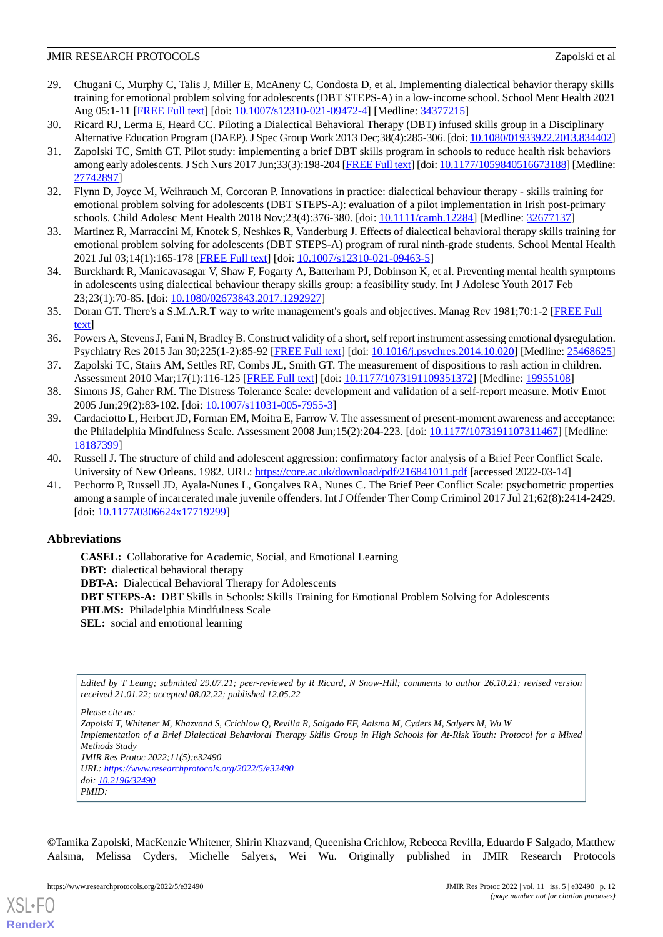- <span id="page-11-0"></span>29. Chugani C, Murphy C, Talis J, Miller E, McAneny C, Condosta D, et al. Implementing dialectical behavior therapy skills training for emotional problem solving for adolescents (DBT STEPS-A) in a low-income school. School Ment Health 2021 Aug 05:1-11 [\[FREE Full text\]](http://europepmc.org/abstract/MED/34377215) [doi: [10.1007/s12310-021-09472-4\]](http://dx.doi.org/10.1007/s12310-021-09472-4) [Medline: [34377215\]](http://www.ncbi.nlm.nih.gov/entrez/query.fcgi?cmd=Retrieve&db=PubMed&list_uids=34377215&dopt=Abstract)
- <span id="page-11-2"></span><span id="page-11-1"></span>30. Ricard RJ, Lerma E, Heard CC. Piloting a Dialectical Behavioral Therapy (DBT) infused skills group in a Disciplinary Alternative Education Program (DAEP). J Spec Group Work 2013 Dec;38(4):285-306. [doi: [10.1080/01933922.2013.834402\]](http://dx.doi.org/10.1080/01933922.2013.834402)
- 31. Zapolski TC, Smith GT. Pilot study: implementing a brief DBT skills program in schools to reduce health risk behaviors among early adolescents. J Sch Nurs 2017 Jun;33(3):198-204 [[FREE Full text](http://europepmc.org/abstract/MED/27742897)] [doi: [10.1177/1059840516673188\]](http://dx.doi.org/10.1177/1059840516673188) [Medline: [27742897](http://www.ncbi.nlm.nih.gov/entrez/query.fcgi?cmd=Retrieve&db=PubMed&list_uids=27742897&dopt=Abstract)]
- <span id="page-11-4"></span><span id="page-11-3"></span>32. Flynn D, Joyce M, Weihrauch M, Corcoran P. Innovations in practice: dialectical behaviour therapy - skills training for emotional problem solving for adolescents (DBT STEPS-A): evaluation of a pilot implementation in Irish post-primary schools. Child Adolesc Ment Health 2018 Nov;23(4):376-380. [doi: [10.1111/camh.12284](http://dx.doi.org/10.1111/camh.12284)] [Medline: [32677137](http://www.ncbi.nlm.nih.gov/entrez/query.fcgi?cmd=Retrieve&db=PubMed&list_uids=32677137&dopt=Abstract)]
- <span id="page-11-5"></span>33. Martinez R, Marraccini M, Knotek S, Neshkes R, Vanderburg J. Effects of dialectical behavioral therapy skills training for emotional problem solving for adolescents (DBT STEPS-A) program of rural ninth-grade students. School Mental Health 2021 Jul 03;14(1):165-178 [[FREE Full text\]](https://doi.org/10.1007/s12310-021-09463-5) [doi: [10.1007/s12310-021-09463-5](http://dx.doi.org/10.1007/s12310-021-09463-5)]
- <span id="page-11-6"></span>34. Burckhardt R, Manicavasagar V, Shaw F, Fogarty A, Batterham PJ, Dobinson K, et al. Preventing mental health symptoms in adolescents using dialectical behaviour therapy skills group: a feasibility study. Int J Adolesc Youth 2017 Feb 23;23(1):70-85. [doi: [10.1080/02673843.2017.1292927\]](http://dx.doi.org/10.1080/02673843.2017.1292927)
- <span id="page-11-7"></span>35. Doran GT. There's a S.M.A.R.T way to write management's goals and objectives. Manag Rev 1981;70:1-2 [[FREE Full](https://community.mis.temple.edu/mis0855002fall2015/files/2015/10/S.M.A.R.T-Way-Management-Review.pdf) [text](https://community.mis.temple.edu/mis0855002fall2015/files/2015/10/S.M.A.R.T-Way-Management-Review.pdf)]
- <span id="page-11-8"></span>36. Powers A, Stevens J, Fani N, Bradley B. Construct validity of a short, self report instrument assessing emotional dysregulation. Psychiatry Res 2015 Jan 30;225(1-2):85-92 [\[FREE Full text\]](http://europepmc.org/abstract/MED/25468625) [doi: [10.1016/j.psychres.2014.10.020\]](http://dx.doi.org/10.1016/j.psychres.2014.10.020) [Medline: [25468625](http://www.ncbi.nlm.nih.gov/entrez/query.fcgi?cmd=Retrieve&db=PubMed&list_uids=25468625&dopt=Abstract)]
- <span id="page-11-10"></span><span id="page-11-9"></span>37. Zapolski TC, Stairs AM, Settles RF, Combs JL, Smith GT. The measurement of dispositions to rash action in children. Assessment 2010 Mar;17(1):116-125 [[FREE Full text](http://europepmc.org/abstract/MED/19955108)] [doi: [10.1177/1073191109351372\]](http://dx.doi.org/10.1177/1073191109351372) [Medline: [19955108](http://www.ncbi.nlm.nih.gov/entrez/query.fcgi?cmd=Retrieve&db=PubMed&list_uids=19955108&dopt=Abstract)]
- 38. Simons JS, Gaher RM. The Distress Tolerance Scale: development and validation of a self-report measure. Motiv Emot 2005 Jun;29(2):83-102. [doi: [10.1007/s11031-005-7955-3](http://dx.doi.org/10.1007/s11031-005-7955-3)]
- <span id="page-11-12"></span><span id="page-11-11"></span>39. Cardaciotto L, Herbert JD, Forman EM, Moitra E, Farrow V. The assessment of present-moment awareness and acceptance: the Philadelphia Mindfulness Scale. Assessment 2008 Jun;15(2):204-223. [doi: [10.1177/1073191107311467](http://dx.doi.org/10.1177/1073191107311467)] [Medline: [18187399](http://www.ncbi.nlm.nih.gov/entrez/query.fcgi?cmd=Retrieve&db=PubMed&list_uids=18187399&dopt=Abstract)]
- 40. Russell J. The structure of child and adolescent aggression: confirmatory factor analysis of a Brief Peer Conflict Scale. University of New Orleans. 1982. URL:<https://core.ac.uk/download/pdf/216841011.pdf> [accessed 2022-03-14]
- 41. Pechorro P, Russell JD, Ayala-Nunes L, Gonçalves RA, Nunes C. The Brief Peer Conflict Scale: psychometric properties among a sample of incarcerated male juvenile offenders. Int J Offender Ther Comp Criminol 2017 Jul 21;62(8):2414-2429. [doi: [10.1177/0306624x17719299](http://dx.doi.org/10.1177/0306624x17719299)]

## **Abbreviations**

**CASEL:** Collaborative for Academic, Social, and Emotional Learning **DBT:** dialectical behavioral therapy **DBT-A:** Dialectical Behavioral Therapy for Adolescents **DBT STEPS-A:** DBT Skills in Schools: Skills Training for Emotional Problem Solving for Adolescents **PHLMS:** Philadelphia Mindfulness Scale **SEL:** social and emotional learning

*Edited by T Leung; submitted 29.07.21; peer-reviewed by R Ricard, N Snow-Hill; comments to author 26.10.21; revised version received 21.01.22; accepted 08.02.22; published 12.05.22*

*Please cite as:*

*Zapolski T, Whitener M, Khazvand S, Crichlow Q, Revilla R, Salgado EF, Aalsma M, Cyders M, Salyers M, Wu W Implementation of a Brief Dialectical Behavioral Therapy Skills Group in High Schools for At-Risk Youth: Protocol for a Mixed Methods Study JMIR Res Protoc 2022;11(5):e32490 URL: <https://www.researchprotocols.org/2022/5/e32490> doi: [10.2196/32490](http://dx.doi.org/10.2196/32490) PMID:*

©Tamika Zapolski, MacKenzie Whitener, Shirin Khazvand, Queenisha Crichlow, Rebecca Revilla, Eduardo F Salgado, Matthew Aalsma, Melissa Cyders, Michelle Salyers, Wei Wu. Originally published in JMIR Research Protocols